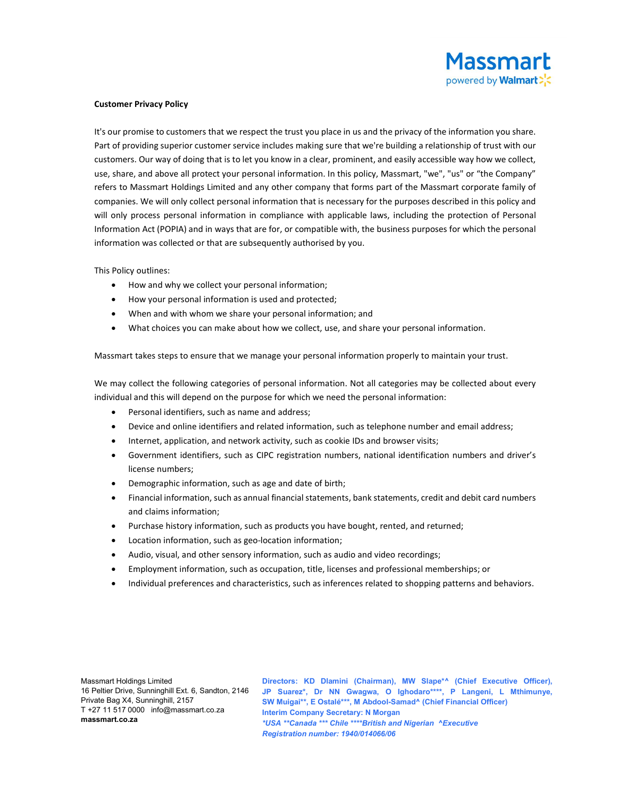

## Customer Privacy Policy

It's our promise to customers that we respect the trust you place in us and the privacy of the information you share. Part of providing superior customer service includes making sure that we're building a relationship of trust with our customers. Our way of doing that is to let you know in a clear, prominent, and easily accessible way how we collect, use, share, and above all protect your personal information. In this policy, Massmart, "we", "us" or "the Company" refers to Massmart Holdings Limited and any other company that forms part of the Massmart corporate family of companies. We will only collect personal information that is necessary for the purposes described in this policy and will only process personal information in compliance with applicable laws, including the protection of Personal Information Act (POPIA) and in ways that are for, or compatible with, the business purposes for which the personal information was collected or that are subsequently authorised by you.

This Policy outlines:

- How and why we collect your personal information;
- How your personal information is used and protected;
- When and with whom we share your personal information; and
- What choices you can make about how we collect, use, and share your personal information.

Massmart takes steps to ensure that we manage your personal information properly to maintain your trust.

We may collect the following categories of personal information. Not all categories may be collected about every individual and this will depend on the purpose for which we need the personal information:

- Personal identifiers, such as name and address;
- Device and online identifiers and related information, such as telephone number and email address;
- Internet, application, and network activity, such as cookie IDs and browser visits;
- Government identifiers, such as CIPC registration numbers, national identification numbers and driver's license numbers;
- Demographic information, such as age and date of birth;
- Financial information, such as annual financial statements, bank statements, credit and debit card numbers and claims information;
- Purchase history information, such as products you have bought, rented, and returned;
- Location information, such as geo-location information;
- Audio, visual, and other sensory information, such as audio and video recordings;
- Employment information, such as occupation, title, licenses and professional memberships; or
- Individual preferences and characteristics, such as inferences related to shopping patterns and behaviors.

Massmart Holdings Limited 16 Peltier Drive, Sunninghill Ext. 6, Sandton, 2146 Private Bag X4, Sunninghill, 2157 T +27 11 517 0000 info@massmart.co.za massmart.co.za

Directors: KD Dlamini (Chairman), MW Slape\*^ (Chief Executive Officer), JP Suarez\*, Dr NN Gwagwa, O Ighodaro\*\*\*\*, P Langeni, L Mthimunye, SW Muigai\*\*, E Ostalé\*\*\*, M Abdool-Samad^ (Chief Financial Officer) Interim Company Secretary: N Morgan \*USA \*\*Canada \*\*\* Chile \*\*\*\*British and Nigerian ^Executive Registration number: 1940/014066/06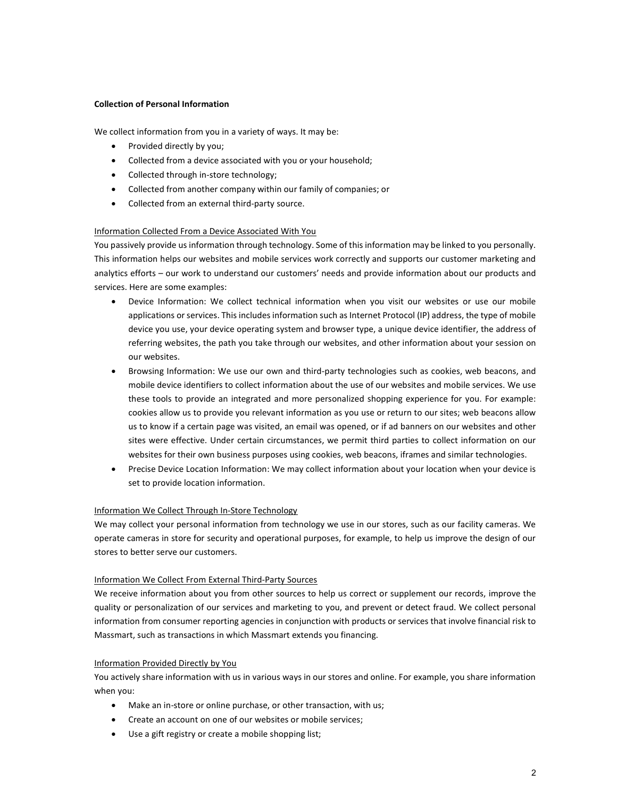## Collection of Personal Information

We collect information from you in a variety of ways. It may be:

- Provided directly by you;
- Collected from a device associated with you or your household;
- Collected through in-store technology;
- Collected from another company within our family of companies; or
- Collected from an external third-party source.

# Information Collected From a Device Associated With You

You passively provide us information through technology. Some of this information may be linked to you personally. This information helps our websites and mobile services work correctly and supports our customer marketing and analytics efforts – our work to understand our customers' needs and provide information about our products and services. Here are some examples:

- Device Information: We collect technical information when you visit our websites or use our mobile applications or services. This includes information such as Internet Protocol (IP) address, the type of mobile device you use, your device operating system and browser type, a unique device identifier, the address of referring websites, the path you take through our websites, and other information about your session on our websites.
- Browsing Information: We use our own and third-party technologies such as cookies, web beacons, and mobile device identifiers to collect information about the use of our websites and mobile services. We use these tools to provide an integrated and more personalized shopping experience for you. For example: cookies allow us to provide you relevant information as you use or return to our sites; web beacons allow us to know if a certain page was visited, an email was opened, or if ad banners on our websites and other sites were effective. Under certain circumstances, we permit third parties to collect information on our websites for their own business purposes using cookies, web beacons, iframes and similar technologies.
- Precise Device Location Information: We may collect information about your location when your device is set to provide location information.

# Information We Collect Through In-Store Technology

We may collect your personal information from technology we use in our stores, such as our facility cameras. We operate cameras in store for security and operational purposes, for example, to help us improve the design of our stores to better serve our customers.

#### Information We Collect From External Third-Party Sources

We receive information about you from other sources to help us correct or supplement our records, improve the quality or personalization of our services and marketing to you, and prevent or detect fraud. We collect personal information from consumer reporting agencies in conjunction with products or services that involve financial risk to Massmart, such as transactions in which Massmart extends you financing.

# Information Provided Directly by You

You actively share information with us in various ways in our stores and online. For example, you share information when you:

- Make an in-store or online purchase, or other transaction, with us;
- Create an account on one of our websites or mobile services;
- Use a gift registry or create a mobile shopping list;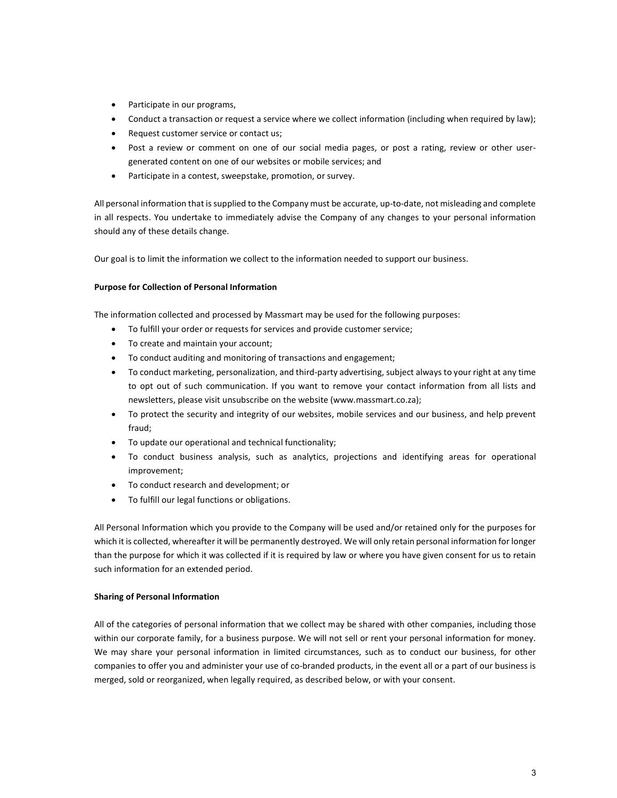- Participate in our programs,
- Conduct a transaction or request a service where we collect information (including when required by law);
- Request customer service or contact us;
- Post a review or comment on one of our social media pages, or post a rating, review or other usergenerated content on one of our websites or mobile services; and
- Participate in a contest, sweepstake, promotion, or survey.

All personal information that is supplied to the Company must be accurate, up-to-date, not misleading and complete in all respects. You undertake to immediately advise the Company of any changes to your personal information should any of these details change.

Our goal is to limit the information we collect to the information needed to support our business.

## Purpose for Collection of Personal Information

The information collected and processed by Massmart may be used for the following purposes:

- To fulfill your order or requests for services and provide customer service;
- To create and maintain your account;
- To conduct auditing and monitoring of transactions and engagement;
- To conduct marketing, personalization, and third-party advertising, subject always to your right at any time to opt out of such communication. If you want to remove your contact information from all lists and newsletters, please visit unsubscribe on the website (www.massmart.co.za);
- To protect the security and integrity of our websites, mobile services and our business, and help prevent fraud;
- To update our operational and technical functionality;
- To conduct business analysis, such as analytics, projections and identifying areas for operational improvement;
- To conduct research and development; or
- To fulfill our legal functions or obligations.

All Personal Information which you provide to the Company will be used and/or retained only for the purposes for which it is collected, whereafter it will be permanently destroyed. We will only retain personal information for longer than the purpose for which it was collected if it is required by law or where you have given consent for us to retain such information for an extended period.

# Sharing of Personal Information

All of the categories of personal information that we collect may be shared with other companies, including those within our corporate family, for a business purpose. We will not sell or rent your personal information for money. We may share your personal information in limited circumstances, such as to conduct our business, for other companies to offer you and administer your use of co-branded products, in the event all or a part of our business is merged, sold or reorganized, when legally required, as described below, or with your consent.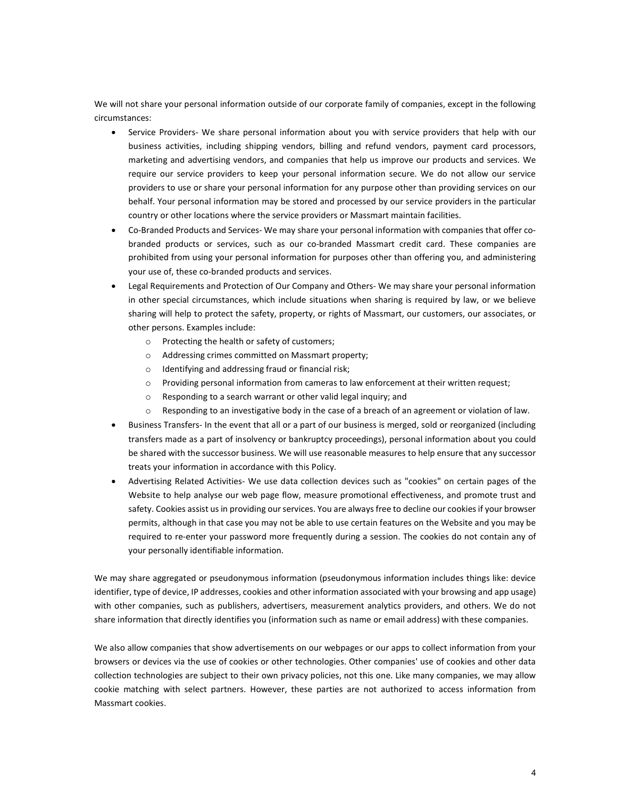We will not share your personal information outside of our corporate family of companies, except in the following circumstances:

- Service Providers- We share personal information about you with service providers that help with our business activities, including shipping vendors, billing and refund vendors, payment card processors, marketing and advertising vendors, and companies that help us improve our products and services. We require our service providers to keep your personal information secure. We do not allow our service providers to use or share your personal information for any purpose other than providing services on our behalf. Your personal information may be stored and processed by our service providers in the particular country or other locations where the service providers or Massmart maintain facilities.
- Co-Branded Products and Services- We may share your personal information with companies that offer cobranded products or services, such as our co-branded Massmart credit card. These companies are prohibited from using your personal information for purposes other than offering you, and administering your use of, these co-branded products and services.
- Legal Requirements and Protection of Our Company and Others- We may share your personal information in other special circumstances, which include situations when sharing is required by law, or we believe sharing will help to protect the safety, property, or rights of Massmart, our customers, our associates, or other persons. Examples include:
	- o Protecting the health or safety of customers;
	- o Addressing crimes committed on Massmart property;
	- o Identifying and addressing fraud or financial risk;
	- o Providing personal information from cameras to law enforcement at their written request;
	- o Responding to a search warrant or other valid legal inquiry; and
	- o Responding to an investigative body in the case of a breach of an agreement or violation of law.
- Business Transfers- In the event that all or a part of our business is merged, sold or reorganized (including transfers made as a part of insolvency or bankruptcy proceedings), personal information about you could be shared with the successor business. We will use reasonable measures to help ensure that any successor treats your information in accordance with this Policy.
- Advertising Related Activities- We use data collection devices such as "cookies" on certain pages of the Website to help analyse our web page flow, measure promotional effectiveness, and promote trust and safety. Cookies assist us in providing our services. You are always free to decline our cookies if your browser permits, although in that case you may not be able to use certain features on the Website and you may be required to re-enter your password more frequently during a session. The cookies do not contain any of your personally identifiable information.

We may share aggregated or pseudonymous information (pseudonymous information includes things like: device identifier, type of device, IP addresses, cookies and other information associated with your browsing and app usage) with other companies, such as publishers, advertisers, measurement analytics providers, and others. We do not share information that directly identifies you (information such as name or email address) with these companies.

We also allow companies that show advertisements on our webpages or our apps to collect information from your browsers or devices via the use of cookies or other technologies. Other companies' use of cookies and other data collection technologies are subject to their own privacy policies, not this one. Like many companies, we may allow cookie matching with select partners. However, these parties are not authorized to access information from Massmart cookies.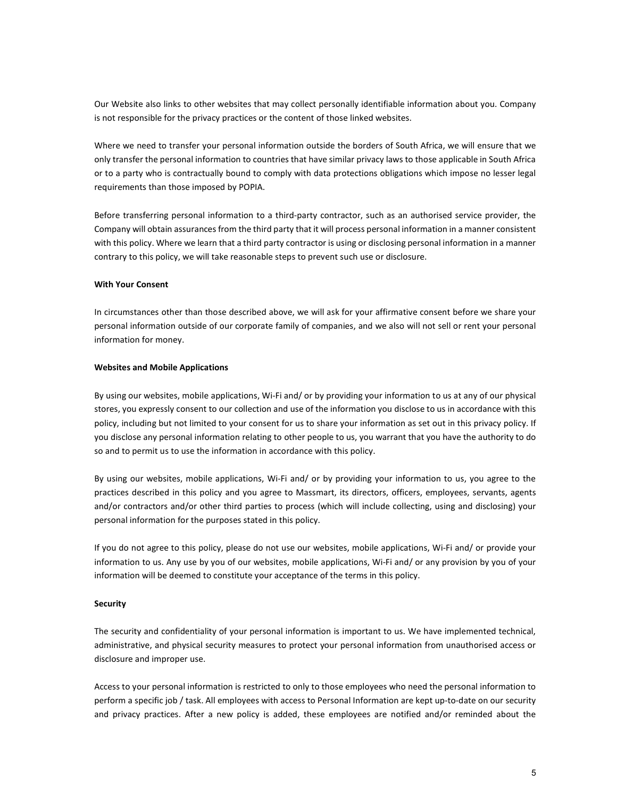Our Website also links to other websites that may collect personally identifiable information about you. Company is not responsible for the privacy practices or the content of those linked websites.

Where we need to transfer your personal information outside the borders of South Africa, we will ensure that we only transfer the personal information to countries that have similar privacy laws to those applicable in South Africa or to a party who is contractually bound to comply with data protections obligations which impose no lesser legal requirements than those imposed by POPIA.

Before transferring personal information to a third-party contractor, such as an authorised service provider, the Company will obtain assurances from the third party that it will process personal information in a manner consistent with this policy. Where we learn that a third party contractor is using or disclosing personal information in a manner contrary to this policy, we will take reasonable steps to prevent such use or disclosure.

#### With Your Consent

In circumstances other than those described above, we will ask for your affirmative consent before we share your personal information outside of our corporate family of companies, and we also will not sell or rent your personal information for money.

#### Websites and Mobile Applications

By using our websites, mobile applications, Wi-Fi and/ or by providing your information to us at any of our physical stores, you expressly consent to our collection and use of the information you disclose to us in accordance with this policy, including but not limited to your consent for us to share your information as set out in this privacy policy. If you disclose any personal information relating to other people to us, you warrant that you have the authority to do so and to permit us to use the information in accordance with this policy.

By using our websites, mobile applications, Wi-Fi and/ or by providing your information to us, you agree to the practices described in this policy and you agree to Massmart, its directors, officers, employees, servants, agents and/or contractors and/or other third parties to process (which will include collecting, using and disclosing) your personal information for the purposes stated in this policy.

If you do not agree to this policy, please do not use our websites, mobile applications, Wi-Fi and/ or provide your information to us. Any use by you of our websites, mobile applications, Wi-Fi and/ or any provision by you of your information will be deemed to constitute your acceptance of the terms in this policy.

## **Security**

The security and confidentiality of your personal information is important to us. We have implemented technical, administrative, and physical security measures to protect your personal information from unauthorised access or disclosure and improper use.

Access to your personal information is restricted to only to those employees who need the personal information to perform a specific job / task. All employees with access to Personal Information are kept up-to-date on our security and privacy practices. After a new policy is added, these employees are notified and/or reminded about the